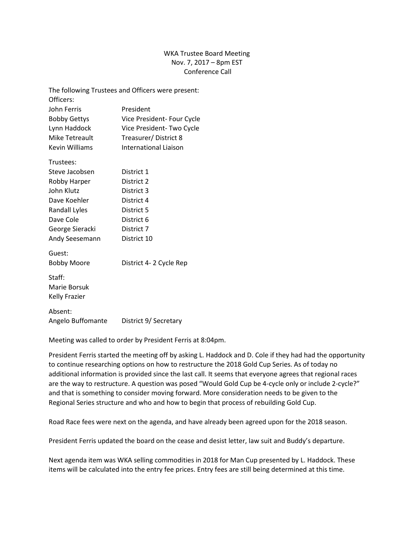## WKA Trustee Board Meeting Nov. 7, 2017 – 8pm EST Conference Call

|                       | The following Trustees and Officers were present: |
|-----------------------|---------------------------------------------------|
| Officers:             |                                                   |
| John Ferris           | President                                         |
| <b>Bobby Gettys</b>   | Vice President- Four Cycle                        |
| Lynn Haddock          | Vice President-Two Cycle                          |
| Mike Tetreault        | Treasurer/District 8                              |
| <b>Kevin Williams</b> | International Liaison                             |
| Trustees:             |                                                   |
| Steve Jacobsen        | District 1                                        |
| Robby Harper          | District 2                                        |
| John Klutz            | District 3                                        |
| Dave Koehler          | District 4                                        |
| Randall Lyles         | District 5                                        |
| Dave Cole             | District 6                                        |
| George Sieracki       | District 7                                        |
| Andy Seesemann        | District 10                                       |
| Guest:                |                                                   |
| <b>Bobby Moore</b>    | District 4-2 Cycle Rep                            |
| Staff:                |                                                   |
| Marie Borsuk          |                                                   |
| <b>Kelly Frazier</b>  |                                                   |
| Absent:               |                                                   |
| Angelo Buffomante     | District 9/ Secretary                             |

Meeting was called to order by President Ferris at 8:04pm.

President Ferris started the meeting off by asking L. Haddock and D. Cole if they had had the opportunity to continue researching options on how to restructure the 2018 Gold Cup Series. As of today no additional information is provided since the last call. It seems that everyone agrees that regional races are the way to restructure. A question was posed "Would Gold Cup be 4-cycle only or include 2-cycle?" and that is something to consider moving forward. More consideration needs to be given to the Regional Series structure and who and how to begin that process of rebuilding Gold Cup.

Road Race fees were next on the agenda, and have already been agreed upon for the 2018 season.

President Ferris updated the board on the cease and desist letter, law suit and Buddy's departure.

Next agenda item was WKA selling commodities in 2018 for Man Cup presented by L. Haddock. These items will be calculated into the entry fee prices. Entry fees are still being determined at this time.